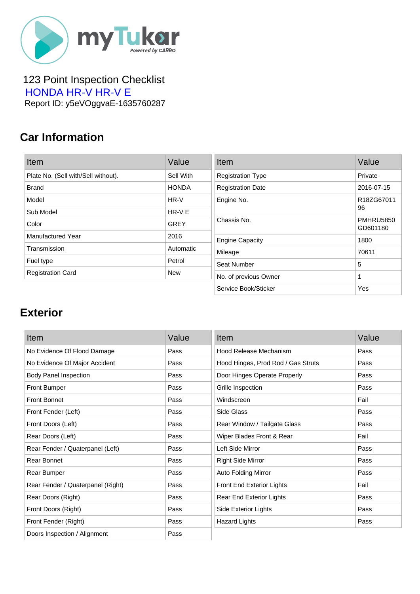

 123 Point Inspection Checklist  [HONDA HR-V HR-V E](https://mytukar.com/q/GMYX6N) Report ID: y5eVOggvaE-1635760287

### **Car Information**

| Item                                | Value        |
|-------------------------------------|--------------|
| Plate No. (Sell with/Sell without). | Sell With    |
| <b>Brand</b>                        | <b>HONDA</b> |
| Model                               | HR-V         |
| Sub Model                           | $HR-VF$      |
| Color                               | GREY         |
| Manufactured Year                   | 2016         |
| Transmission                        | Automatic    |
| Fuel type                           | Petrol       |
| <b>Registration Card</b>            | <b>New</b>   |

| Item                     | Value                        |
|--------------------------|------------------------------|
| <b>Registration Type</b> | Private                      |
| <b>Registration Date</b> | 2016-07-15                   |
| Engine No.               | R18ZG67011<br>96             |
| Chassis No.              | <b>PMHRU5850</b><br>GD601180 |
| <b>Engine Capacity</b>   | 1800                         |
| Mileage                  | 70611                        |
| Seat Number              | 5                            |
| No. of previous Owner    | 1                            |
| Service Book/Sticker     | Yes                          |

#### **Exterior**

| Item                              | Value | Item                               | Value |
|-----------------------------------|-------|------------------------------------|-------|
| No Evidence Of Flood Damage       | Pass  | Hood Release Mechanism             | Pass  |
| No Evidence Of Major Accident     | Pass  | Hood Hinges, Prod Rod / Gas Struts | Pass  |
| <b>Body Panel Inspection</b>      | Pass  | Door Hinges Operate Properly       | Pass  |
| <b>Front Bumper</b>               | Pass  | Grille Inspection                  | Pass  |
| <b>Front Bonnet</b>               | Pass  | Windscreen                         | Fail  |
| Front Fender (Left)               | Pass  | Side Glass                         | Pass  |
| Front Doors (Left)                | Pass  | Rear Window / Tailgate Glass       | Pass  |
| Rear Doors (Left)                 | Pass  | Wiper Blades Front & Rear          | Fail  |
| Rear Fender / Quaterpanel (Left)  | Pass  | Left Side Mirror                   | Pass  |
| Rear Bonnet                       | Pass  | <b>Right Side Mirror</b>           | Pass  |
| Rear Bumper                       | Pass  | Auto Folding Mirror                | Pass  |
| Rear Fender / Quaterpanel (Right) | Pass  | Front End Exterior Lights          | Fail  |
| Rear Doors (Right)                | Pass  | <b>Rear End Exterior Lights</b>    | Pass  |
| Front Doors (Right)               | Pass  | Side Exterior Lights               | Pass  |
| Front Fender (Right)              | Pass  | <b>Hazard Lights</b>               | Pass  |
| Doors Inspection / Alignment      | Pass  |                                    |       |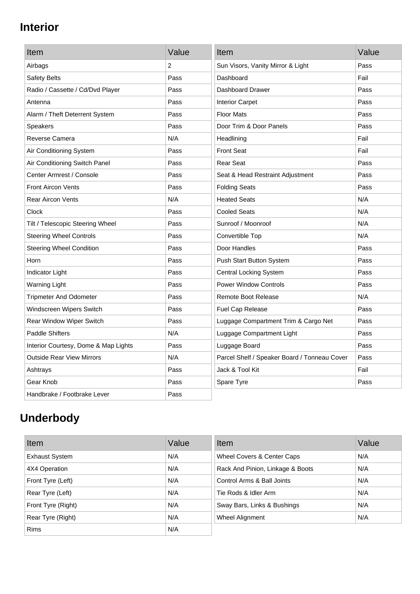### **Interior**

| Item                                 | Value | Item                                         | Value |
|--------------------------------------|-------|----------------------------------------------|-------|
| Airbags                              | 2     | Sun Visors, Vanity Mirror & Light            | Pass  |
| Safety Belts                         | Pass  | Dashboard                                    | Fail  |
| Radio / Cassette / Cd/Dvd Player     | Pass  | Dashboard Drawer                             | Pass  |
| Antenna                              | Pass  | <b>Interior Carpet</b>                       | Pass  |
| Alarm / Theft Deterrent System       | Pass  | <b>Floor Mats</b>                            | Pass  |
| <b>Speakers</b>                      | Pass  | Door Trim & Door Panels                      | Pass  |
| Reverse Camera                       | N/A   | Headlining                                   | Fail  |
| Air Conditioning System              | Pass  | <b>Front Seat</b>                            | Fail  |
| Air Conditioning Switch Panel        | Pass  | <b>Rear Seat</b>                             | Pass  |
| Center Armrest / Console             | Pass  | Seat & Head Restraint Adjustment             | Pass  |
| <b>Front Aircon Vents</b>            | Pass  | <b>Folding Seats</b>                         | Pass  |
| <b>Rear Aircon Vents</b>             | N/A   | <b>Heated Seats</b>                          | N/A   |
| Clock                                | Pass  | <b>Cooled Seats</b>                          | N/A   |
| Tilt / Telescopic Steering Wheel     | Pass  | Sunroof / Moonroof                           | N/A   |
| <b>Steering Wheel Controls</b>       | Pass  | Convertible Top                              | N/A   |
| <b>Steering Wheel Condition</b>      | Pass  | Door Handles                                 | Pass  |
| Horn                                 | Pass  | Push Start Button System                     | Pass  |
| Indicator Light                      | Pass  | <b>Central Locking System</b>                | Pass  |
| <b>Warning Light</b>                 | Pass  | <b>Power Window Controls</b>                 | Pass  |
| <b>Tripmeter And Odometer</b>        | Pass  | <b>Remote Boot Release</b>                   | N/A   |
| Windscreen Wipers Switch             | Pass  | Fuel Cap Release                             | Pass  |
| Rear Window Wiper Switch             | Pass  | Luggage Compartment Trim & Cargo Net         | Pass  |
| <b>Paddle Shifters</b>               | N/A   | Luggage Compartment Light                    | Pass  |
| Interior Courtesy, Dome & Map Lights | Pass  | Luggage Board                                | Pass  |
| <b>Outside Rear View Mirrors</b>     | N/A   | Parcel Shelf / Speaker Board / Tonneau Cover | Pass  |
| Ashtrays                             | Pass  | Jack & Tool Kit                              | Fail  |
| Gear Knob                            | Pass  | Spare Tyre                                   | Pass  |
| Handbrake / Footbrake Lever          | Pass  |                                              |       |

# **Underbody**

| Item                  | Value | Item                             | Value |
|-----------------------|-------|----------------------------------|-------|
| <b>Exhaust System</b> | N/A   | Wheel Covers & Center Caps       | N/A   |
| 4X4 Operation         | N/A   | Rack And Pinion, Linkage & Boots | N/A   |
| Front Tyre (Left)     | N/A   | Control Arms & Ball Joints       | N/A   |
| Rear Tyre (Left)      | N/A   | Tie Rods & Idler Arm             | N/A   |
| Front Tyre (Right)    | N/A   | Sway Bars, Links & Bushings      | N/A   |
| Rear Tyre (Right)     | N/A   | Wheel Alignment                  | N/A   |
| <b>Rims</b>           | N/A   |                                  |       |